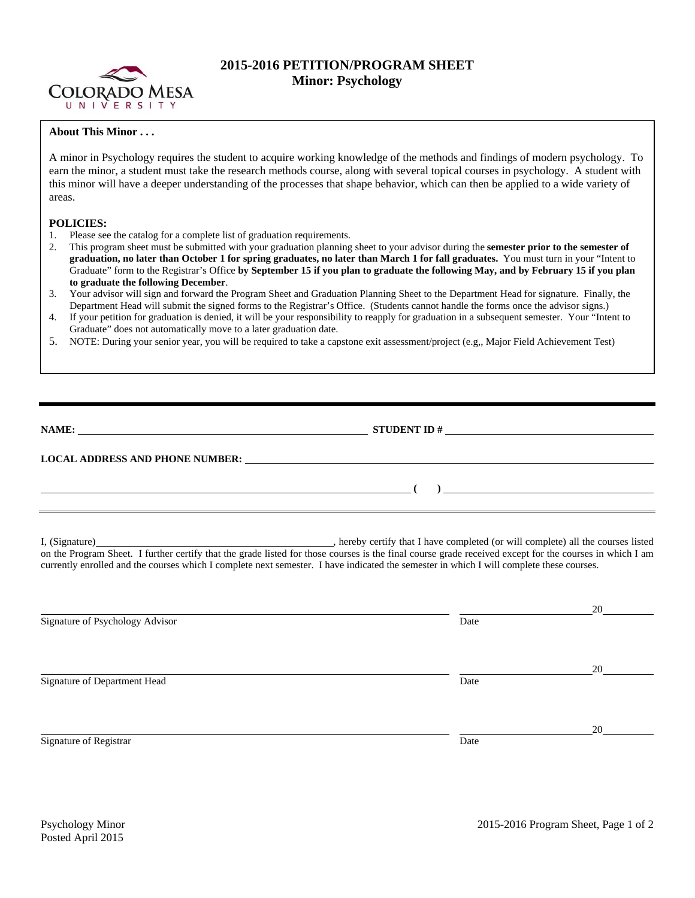

## **2015-2016 PETITION/PROGRAM SHEET Minor: Psychology**

## **About This Minor . . .**

A minor in Psychology requires the student to acquire working knowledge of the methods and findings of modern psychology. To earn the minor, a student must take the research methods course, along with several topical courses in psychology. A student with this minor will have a deeper understanding of the processes that shape behavior, which can then be applied to a wide variety of areas.

## **POLICIES:**

- 1. Please see the catalog for a complete list of graduation requirements.
- 2. This program sheet must be submitted with your graduation planning sheet to your advisor during the **semester prior to the semester of graduation, no later than October 1 for spring graduates, no later than March 1 for fall graduates.** You must turn in your "Intent to Graduate" form to the Registrar's Office **by September 15 if you plan to graduate the following May, and by February 15 if you plan to graduate the following December**.
- 3. Your advisor will sign and forward the Program Sheet and Graduation Planning Sheet to the Department Head for signature. Finally, the Department Head will submit the signed forms to the Registrar's Office. (Students cannot handle the forms once the advisor signs.)
- 4. If your petition for graduation is denied, it will be your responsibility to reapply for graduation in a subsequent semester. Your "Intent to Graduate" does not automatically move to a later graduation date.
- 5. NOTE: During your senior year, you will be required to take a capstone exit assessment/project (e.g,, Major Field Achievement Test)

| NAME:                                  | <b>STUDENT ID#</b><br><u> 1989 - Jan Stein Stein, Amerikaansk politiker (</u>                                |  |  |  |
|----------------------------------------|--------------------------------------------------------------------------------------------------------------|--|--|--|
| <b>LOCAL ADDRESS AND PHONE NUMBER:</b> | <u>a sa barang di salah sahiji désa di salah sahiji désa di salah sahiji désa di salah sahiji désa di sa</u> |  |  |  |
|                                        |                                                                                                              |  |  |  |

I, (Signature) , hereby certify that I have completed (or will complete) all the courses listed on the Program Sheet. I further certify that the grade listed for those courses is the final course grade received except for the courses in which I am currently enrolled and the courses which I complete next semester. I have indicated the semester in which I will complete these courses.

|                                 |      | 20 |
|---------------------------------|------|----|
| Signature of Psychology Advisor | Date |    |
|                                 |      |    |
|                                 |      |    |
|                                 |      | 20 |
| Signature of Department Head    | Date |    |
|                                 |      |    |
|                                 |      |    |
|                                 |      | 20 |
| Signature of Registrar          | Date |    |
|                                 |      |    |